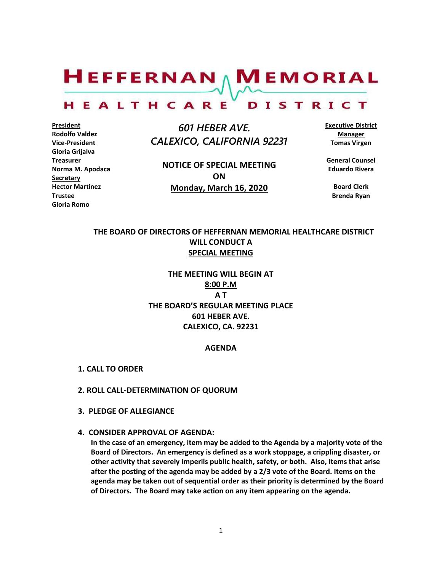$H$ EFFERNAN  $\wedge$  M EMORIAL HEALTHCARE DISTRICT

**President Rodolfo Valdez Vice-President Gloria Grijalva Treasurer Norma M. Apodaca Secretary Hector Martinez Trustee Gloria Romo**

 *601 HEBER AVE. CALEXICO, CALIFORNIA 92231*

**NOTICE OF SPECIAL MEETING ON Monday, March 16, 2020**

**Executive District Manager Tomas Virgen**

**General Counsel Eduardo Rivera**

**Board Clerk Brenda Ryan**

# **THE BOARD OF DIRECTORS OF HEFFERNAN MEMORIAL HEALTHCARE DISTRICT WILL CONDUCT A SPECIAL MEETING**

**THE MEETING WILL BEGIN AT 8:00 P.M A T THE BOARD'S REGULAR MEETING PLACE 601 HEBER AVE. CALEXICO, CA. 92231**

#### **AGENDA**

- **1. CALL TO ORDER**
- **2. ROLL CALL-DETERMINATION OF QUORUM**
- **3. PLEDGE OF ALLEGIANCE**
- **4. CONSIDER APPROVAL OF AGENDA:**

**In the case of an emergency, item may be added to the Agenda by a majority vote of the Board of Directors. An emergency is defined as a work stoppage, a crippling disaster, or other activity that severely imperils public health, safety, or both. Also, items that arise after the posting of the agenda may be added by a 2/3 vote of the Board. Items on the agenda may be taken out of sequential order as their priority is determined by the Board of Directors. The Board may take action on any item appearing on the agenda.**